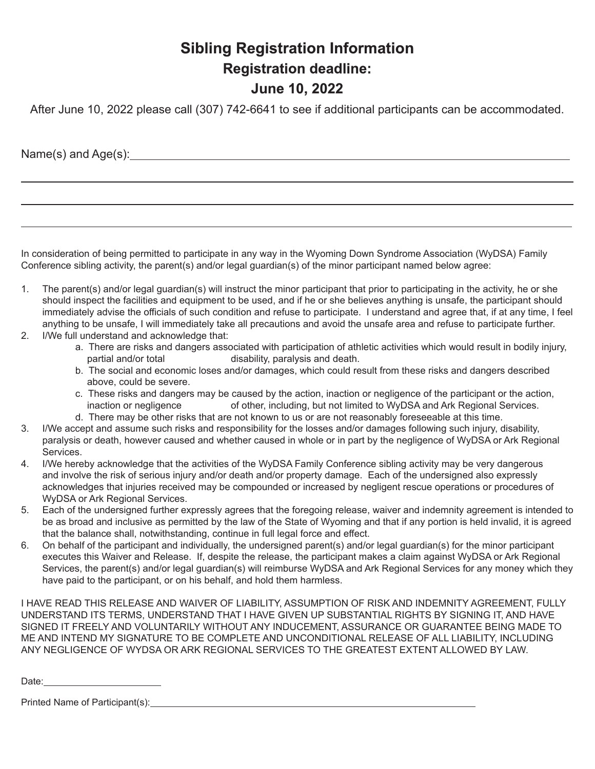## **Sibling Registration Information Registration deadline: June 10, 2022**

After June 10, 2022 please call (307) 742-6641 to see if additional participants can be accommodated.

Name(s) and Age(s): Name and Age (s) and Age (s) and Age (s) and  $\frac{1}{2}$  and  $\frac{1}{2}$  and  $\frac{1}{2}$  and  $\frac{1}{2}$  and  $\frac{1}{2}$  and  $\frac{1}{2}$  and  $\frac{1}{2}$  and  $\frac{1}{2}$  and  $\frac{1}{2}$  and  $\frac{1}{2}$  and  $\frac{1}{2}$  and  $\frac$ 

In consideration of being permitted to participate in any way in the Wyoming Down Syndrome Association (WyDSA) Family Conference sibling activity, the parent(s) and/or legal guardian(s) of the minor participant named below agree:

- 1. The parent(s) and/or legal guardian(s) will instruct the minor participant that prior to participating in the activity, he or she should inspect the facilities and equipment to be used, and if he or she believes anything is unsafe, the participant should immediately advise the officials of such condition and refuse to participate. I understand and agree that, if at any time, I feel anything to be unsafe, I will immediately take all precautions and avoid the unsafe area and refuse to participate further.
- 2. I/We full understand and acknowledge that:
	- a. There are risks and dangers associated with participation of athletic activities which would result in bodily injury, partial and/or total disability, paralysis and death.
	- b. The social and economic loses and/or damages, which could result from these risks and dangers described above, could be severe.
	- c. These risks and dangers may be caused by the action, inaction or negligence of the participant or the action, inaction or negligence of other, including, but not limited to WyDSA and Ark Regional Services.
	- d. There may be other risks that are not known to us or are not reasonably foreseeable at this time.
- 3. I/We accept and assume such risks and responsibility for the losses and/or damages following such injury, disability, paralysis or death, however caused and whether caused in whole or in part by the negligence of WyDSA or Ark Regional **Services**
- 4. I/We hereby acknowledge that the activities of the WyDSA Family Conference sibling activity may be very dangerous and involve the risk of serious injury and/or death and/or property damage. Each of the undersigned also expressly acknowledges that injuries received may be compounded or increased by negligent rescue operations or procedures of WyDSA or Ark Regional Services.
- 5. Each of the undersigned further expressly agrees that the foregoing release, waiver and indemnity agreement is intended to be as broad and inclusive as permitted by the law of the State of Wyoming and that if any portion is held invalid, it is agreed that the balance shall, notwithstanding, continue in full legal force and effect.
- 6. On behalf of the participant and individually, the undersigned parent(s) and/or legal guardian(s) for the minor participant executes this Waiver and Release. If, despite the release, the participant makes a claim against WyDSA or Ark Regional Services, the parent(s) and/or legal guardian(s) will reimburse WyDSA and Ark Regional Services for any money which they have paid to the participant, or on his behalf, and hold them harmless.

I HAVE READ THIS RELEASE AND WAIVER OF LIABILITY, ASSUMPTION OF RISK AND INDEMNITY AGREEMENT, FULLY UNDERSTAND ITS TERMS, UNDERSTAND THAT I HAVE GIVEN UP SUBSTANTIAL RIGHTS BY SIGNING IT, AND HAVE SIGNED IT FREELY AND VOLUNTARILY WITHOUT ANY INDUCEMENT, ASSURANCE OR GUARANTEE BEING MADE TO ME AND INTEND MY SIGNATURE TO BE COMPLETE AND UNCONDITIONAL RELEASE OF ALL LIABILITY, INCLUDING ANY NEGLIGENCE OF WYDSA OR ARK REGIONAL SERVICES TO THE GREATEST EXTENT ALLOWED BY LAW.

Date: **Date: Date: Date: Date: Date: Date: Date: Date: Date: Date: Date: Date: Date: Date: Date: Date: Date: Date: Date: Date: Date: Date: Date: Date: Date: Date: Date:**

| Printed Name of Participant(s): |  |  |  |
|---------------------------------|--|--|--|
|                                 |  |  |  |